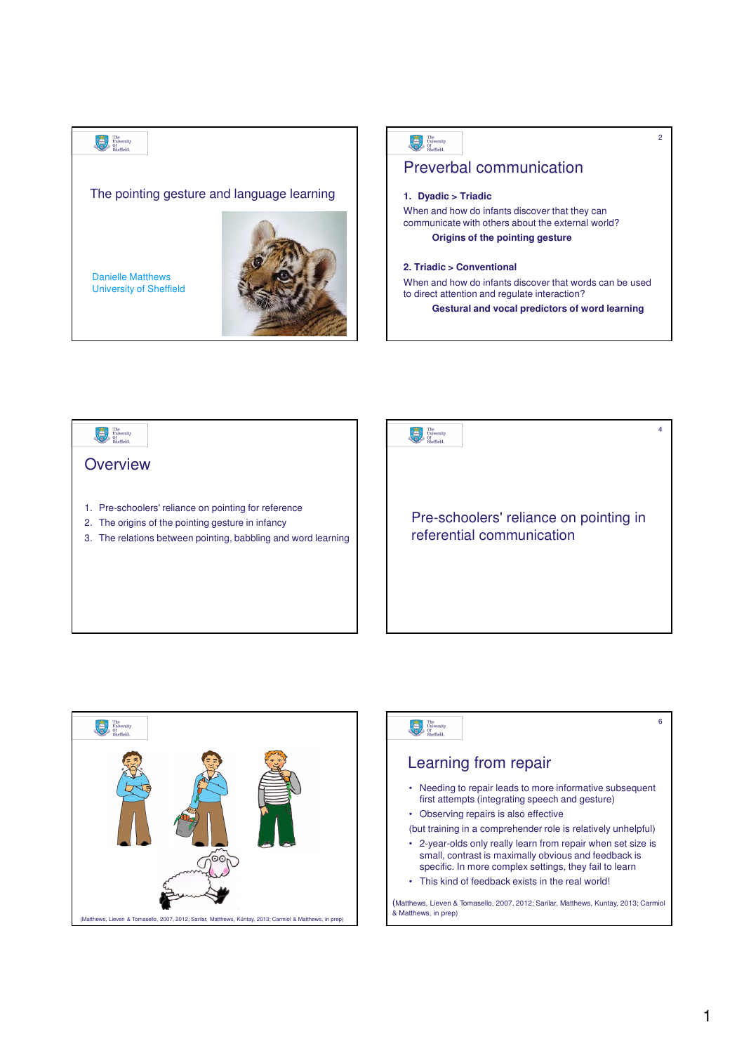





| The<br>University<br>Sheffield.                                                                                                                                                | 6 |
|--------------------------------------------------------------------------------------------------------------------------------------------------------------------------------|---|
| Learning from repair                                                                                                                                                           |   |
| • Needing to repair leads to more informative subsequent<br>first attempts (integrating speech and gesture)                                                                    |   |
| • Observing repairs is also effective                                                                                                                                          |   |
| (but training in a comprehender role is relatively unhelpful)                                                                                                                  |   |
| • 2-year-olds only really learn from repair when set size is<br>small, contrast is maximally obvious and feedback is<br>specific. In more complex settings, they fail to learn |   |
| • This kind of feedback exists in the real world!                                                                                                                              |   |
| (Matthews, Lieven & Tomasello, 2007, 2012; Sarilar, Matthews, Kuntay, 2013; Carmiol<br>& Matthews, in prep)                                                                    |   |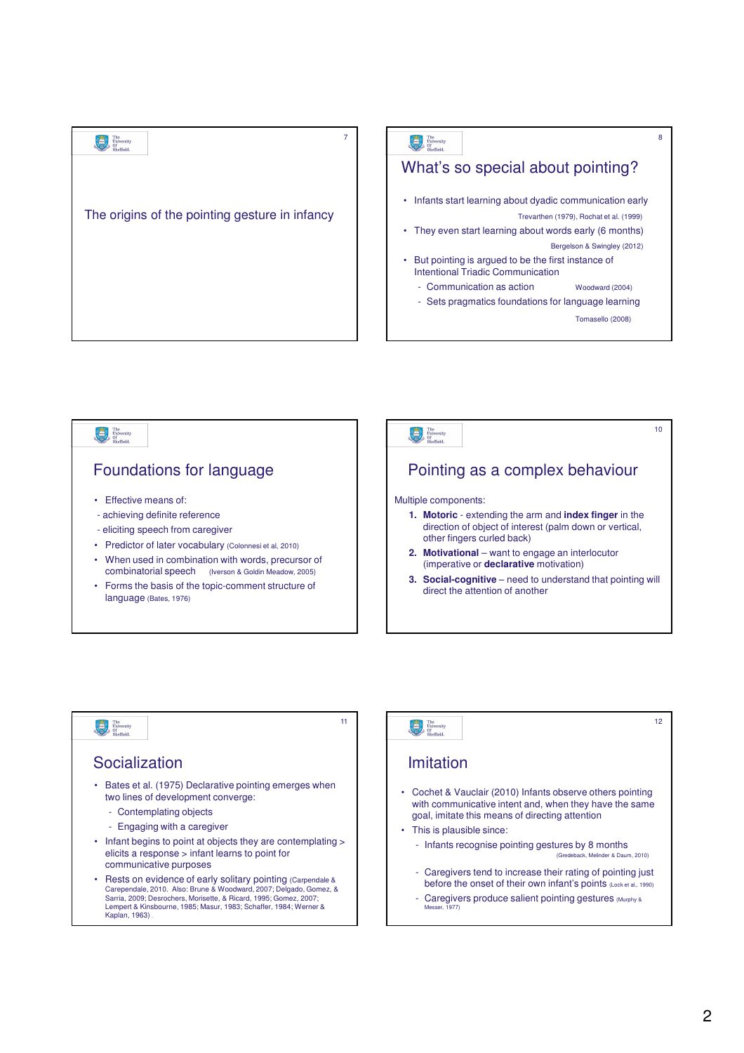#### 7 8  $\begin{tabular}{|c|c|c|} \hline \multicolumn{3}{|c|}{\textbf{The}} & \multicolumn{3}{|c|}{\textbf{The}}\\ \hline \multicolumn{3}{|c|}{\textbf{University}} & \multicolumn{3}{|c|}{\textbf{University}}\\ \hline \multicolumn{3}{|c|}{\textbf{On}} & \multicolumn{3}{|c|}{\textbf{On}}\\ \hline \multicolumn{3}{|c|}{\textbf{On}} & \multicolumn{3}{|c|}{\textbf{On}}\\ \hline \multicolumn{3}{|c|}{\textbf{On}} & \multicolumn{3}{|c|}{\textbf{On}}\\ \hline \multicolumn{3$ The University What's so special about pointing? • Infants start learning about dyadic communication early The origins of the pointing gesture in infancy Trevarthen (1979), Rochat et al. (1999) • They even start learning about words early (6 months) Bergelson & Swingley (2012) • But pointing is argued to be the first instance of Intentional Triadic Communication Communication as action Woodward (2004) - Sets pragmatics foundations for language learning Tomasello (2008)



11

# 

### Socialization

- Bates et al. (1975) Declarative pointing emerges when two lines of development converge:
	- Contemplating objects
	- Engaging with a caregiver
- Infant begins to point at objects they are contemplating > elicits a response > infant learns to point for communicative purposes
- Rests on evidence of early solitary pointing (Carpendale & Carependale, 2010. Also: Brune & Woodward, 2007; Delgado, Gomez, & Sarria, 2009; Desrochers, Morisette, & Ricard, 1995; Gomez, 2007; Lempert & Kinsbourne, 1985; Masur, 1983; Schaffer, 1984; Werner & Kaplan, 1963) .

#### 12Imitation • Cochet & Vauclair (2010) Infants observe others pointing with communicative intent and, when they have the same goal, imitate this means of directing attention • This is plausible since: - Infants recognise pointing gestures by 8 months (Gredeback, Melinder & Daum, 2010) - Caregivers tend to increase their rating of pointing just before the onset of their own infant's points (Lock et al., 1990) Caregivers produce salient pointing gestures (Murphy & Messer, 1977)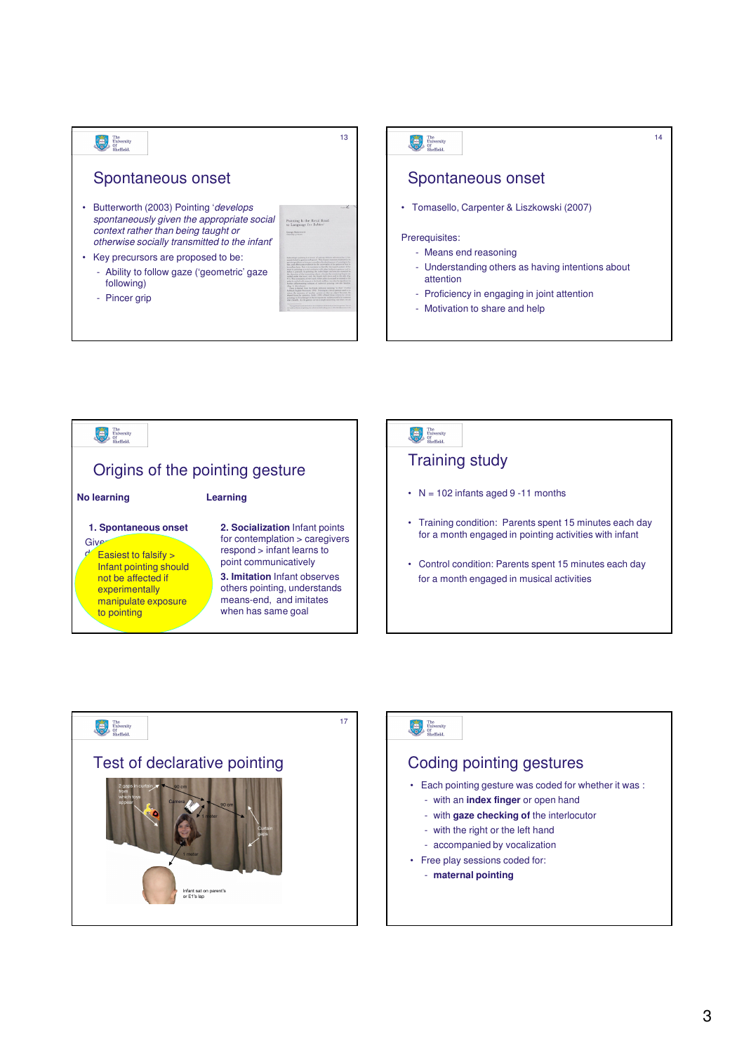





# The University

## Coding pointing gestures

- Each pointing gesture was coded for whether it was :
	- with an **index finger** or open hand
	- with **gaze checking of** the interlocutor
	- with the right or the left hand
	- accompanied by vocalization
- Free play sessions coded for:
	- **maternal pointing**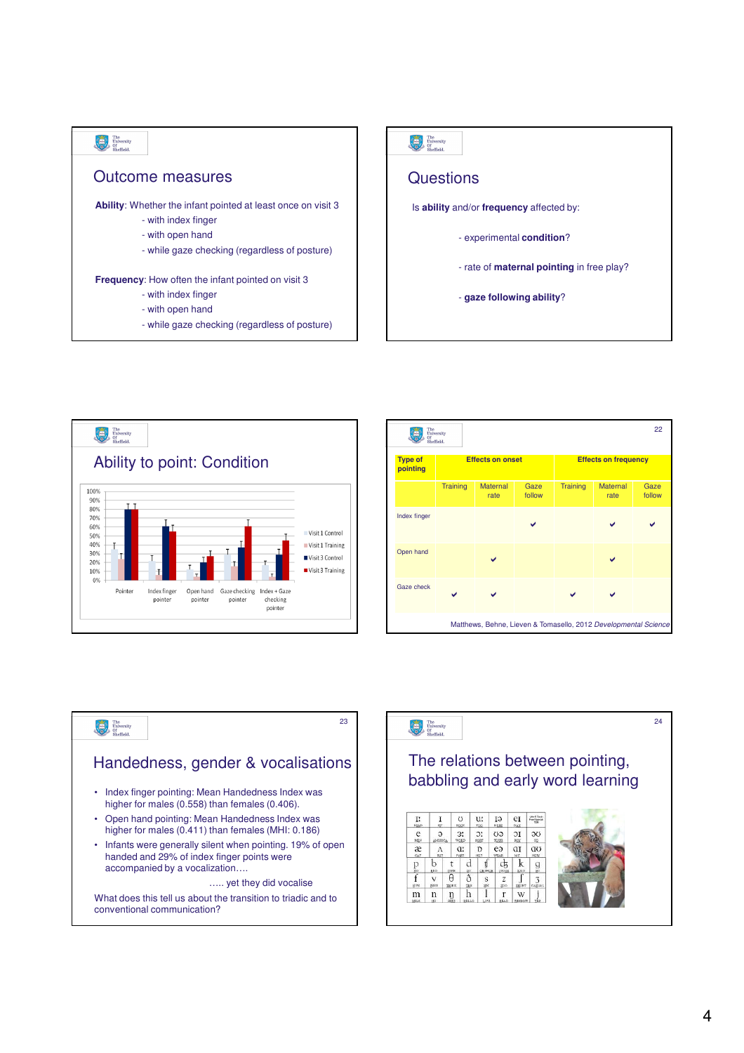



| 22<br>The<br>University<br>Öf<br>Sheffield.                     |                         |                         |                |                             |                         |                |  |  |
|-----------------------------------------------------------------|-------------------------|-------------------------|----------------|-----------------------------|-------------------------|----------------|--|--|
| <b>Type of</b><br>pointing                                      | <b>Effects on onset</b> |                         |                | <b>Effects on frequency</b> |                         |                |  |  |
|                                                                 | <b>Training</b>         | <b>Maternal</b><br>rate | Gaze<br>follow | Training                    | <b>Maternal</b><br>rate | Gaze<br>follow |  |  |
| Index finger                                                    |                         |                         |                |                             |                         |                |  |  |
| Open hand                                                       |                         |                         |                |                             |                         |                |  |  |
| Gaze check                                                      |                         |                         |                |                             |                         |                |  |  |
| Matthews, Behne, Lieven & Tomasello, 2012 Developmental Science |                         |                         |                |                             |                         |                |  |  |



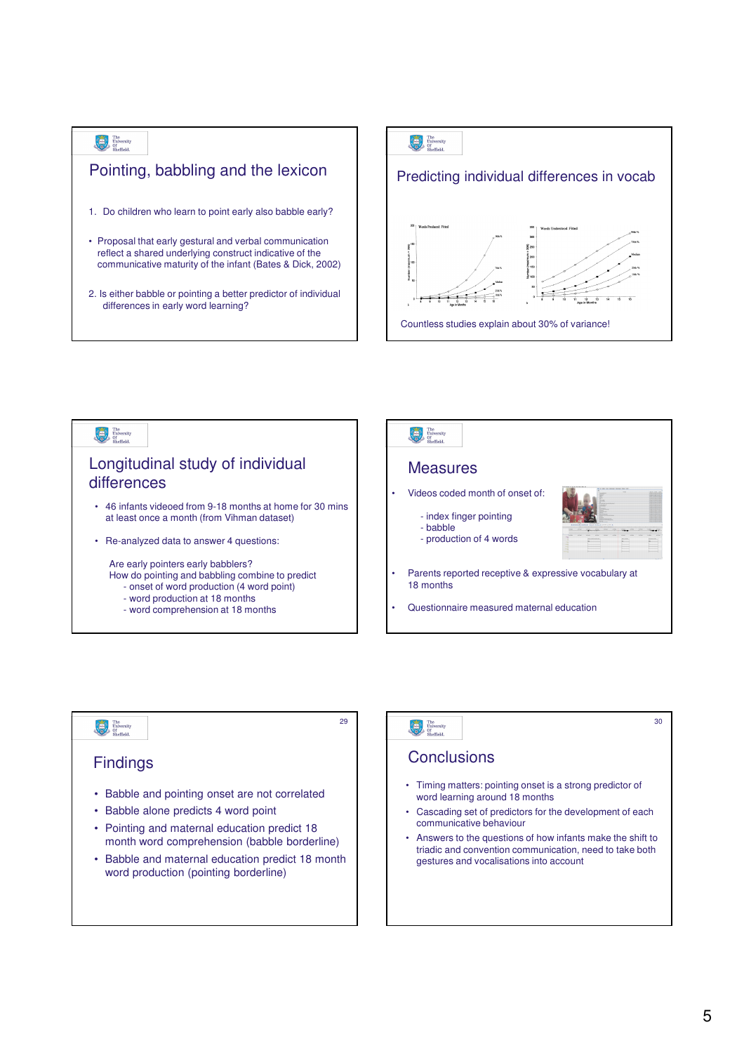## The University

## Pointing, babbling and the lexicon

- 1. Do children who learn to point early also babble early?
- Proposal that early gestural and verbal communication reflect a shared underlying construct indicative of the communicative maturity of the infant (Bates & Dick, 2002)
- 2. Is either babble or pointing a better predictor of individual differences in early word learning?





29



#### **Findings**

- Babble and pointing onset are not correlated
- Babble alone predicts 4 word point
- Pointing and maternal education predict 18 month word comprehension (babble borderline)
- Babble and maternal education predict 18 month word production (pointing borderline)

# The University

### **Conclusions**

- Timing matters: pointing onset is a strong predictor of word learning around 18 months
- Cascading set of predictors for the development of each communicative behaviour
- Answers to the questions of how infants make the shift to triadic and convention communication, need to take both gestures and vocalisations into account

30